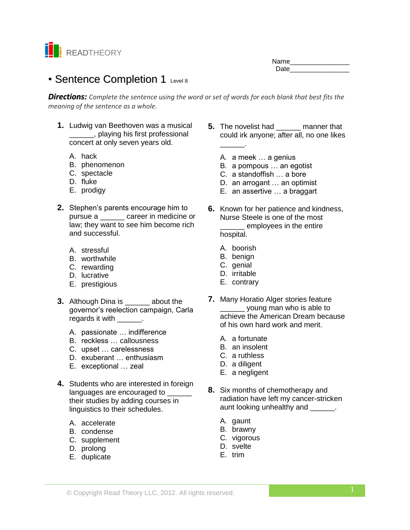

# • Sentence Completion 1 Level 8

*Directions: Complete the sentence using the word or set of words for each blank that best fits the meaning of the sentence as a whole.*

- **1.** Ludwig van Beethoven was a musical \_\_\_\_\_\_, playing his first professional concert at only seven years old.
	- A. hack
	- B. phenomenon
	- C. spectacle
	- D. fluke
	- E. prodigy
- **2.** Stephen's parents encourage him to pursue a \_\_\_\_\_\_ career in medicine or law; they want to see him become rich and successful.
	- A. stressful
	- B. worthwhile
	- C. rewarding
	- D. lucrative
	- E. prestigious
- **3.** Although Dina is \_\_\_\_\_\_ about the governor's reelection campaign, Carla regards it with \_\_\_\_\_\_\_.
	- A. passionate … indifference
	- B. reckless … callousness
	- C. upset … carelessness
	- D. exuberant … enthusiasm
	- E. exceptional … zeal
- **4.** Students who are interested in foreign languages are encouraged to **wareless** their studies by adding courses in linguistics to their schedules.
	- A. accelerate
	- B. condense
	- C. supplement
	- D. prolong
	- E. duplicate
- **5.** The novelist had **manner that** could irk anyone; after all, no one likes \_\_\_\_\_\_.
	- A. a meek … a genius
	- B. a pompous … an egotist
	- C. a standoffish … a bore
	- D. an arrogant … an optimist
	- E. an assertive … a braggart
- **6.** Known for her patience and kindness, Nurse Steele is one of the most employees in the entire hospital.
	- A. boorish
	- B. benign
	- C. genial
	- D. irritable
	- E. contrary
- **7.** Many Horatio Alger stories feature \_\_\_\_\_ young man who is able to achieve the American Dream because of his own hard work and merit.
	- A. a fortunate
	- B. an insolent
	- C. a ruthless
	- D. a diligent
	- E. a negligent
- **8.** Six months of chemotherapy and radiation have left my cancer-stricken aunt looking unhealthy and \_\_\_\_\_\_.
	- A. gaunt
	- B. brawny
	- C. vigorous
	- D. svelte
	- E. trim

Name\_\_\_\_\_\_\_\_\_\_\_\_\_\_\_\_ Date **Date**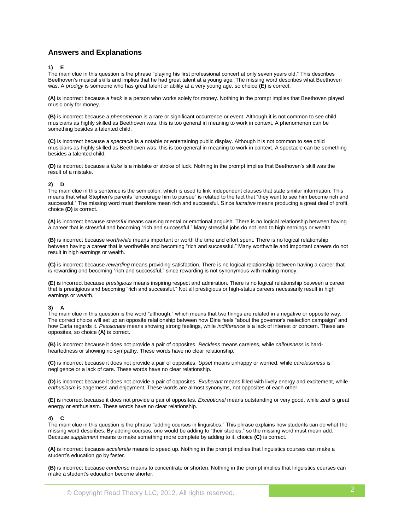# **Answers and Explanations**

# **1) E**

The main clue in this question is the phrase "playing his first professional concert at only seven years old." This describes Beethoven's musical skills and implies that he had great talent at a young age*.* The missing word describes what Beethoven was. A *prodigy* is someone who has great talent or ability at a very young age, so choice **(E)** is correct.

**(A)** is incorrect because a *hack* is a person who works solely for money. Nothing in the prompt implies that Beethoven played music only for money.

**(B)** is incorrect because a *phenomenon* is a rare or significant occurrence or event. Although it is not common to see child musicians as highly skilled as Beethoven was, this is too general in meaning to work in context. A phenomenon can be something besides a talented child.

**(C)** is incorrect because a *spectacle* is a notable or entertaining public display. Although it is not common to see child musicians as highly skilled as Beethoven was, this is too general in meaning to work in context. A spectacle can be something besides a talented child.

**(D)** is incorrect because a *fluke* is a mistake or stroke of luck. Nothing in the prompt implies that Beethoven's skill was the result of a mistake.

### **2) D**

The main clue in this sentence is the semicolon, which is used to link independent clauses that state similar information. This means that what Stephen's parents "encourage him to pursue" is related to the fact that "they want to see him become rich and successful." The missing word must therefore mean rich and successful. Since *lucrative* means producing a great deal of profit, choice **(D)** is correct.

**(A)** is incorrect because *stressful* means causing mental or emotional anguish. There is no logical relationship between having a career that is stressful and becoming "rich and successful." Many stressful jobs do not lead to high earnings or wealth.

**(B)** is incorrect because *worthwhile* means important or worth the time and effort spent. There is no logical relationship between having a career that is worthwhile and becoming "rich and successful." Many worthwhile and important careers do not result in high earnings or wealth.

**(C)** is incorrect because *rewarding* means providing satisfaction. There is no logical relationship between having a career that is rewarding and becoming "rich and successful," since rewarding is not synonymous with making money.

**(E)** is incorrect because *prestigious* means inspiring respect and admiration. There is no logical relationship between a career that is prestigious and becoming "rich and successful." Not all prestigious or high-status careers necessarily result in high earnings or wealth.

#### **3) A**

The main clue in this question is the word "although," which means that two things are related in a negative or opposite way. The correct choice will set up an opposite relationship between how Dina feels "about the governor's reelection campaign" and how Carla regards it. *Passionate* means showing strong feelings, while *indifference* is a lack of interest or concern. These are opposites, so choice **(A)** is correct.

**(B)** is incorrect because it does not provide a pair of opposites. *Reckless* means careless, while *callousness* is hardheartedness or showing no sympathy. These words have no clear relationship.

**(C)** is incorrect because it does not provide a pair of opposites. *Upset* means unhappy or worried, while *carelessness* is negligence or a lack of care. These words have no clear relationship.

**(D)** is incorrect because it does not provide a pair of opposites. *Exuberant* means filled with lively energy and excitement, while *enthusiasm* is eagerness and enjoyment. These words are almost synonyms, not opposites of each other.

**(E)** is incorrect because it does not provide a pair of opposites. *Exceptional* means outstanding or very good, while *zeal* is great energy or enthusiasm. These words have no clear relationship.

#### **4) C**

The main clue in this question is the phrase "adding courses in linguistics." This phrase explains how students can do what the missing word describes. By adding courses, one would be adding to "their studies," so the missing word must mean add*.* Because *supplement* means to make something more complete by adding to it, choice **(C)** is correct.

**(A)** is incorrect because *accelerate* means to speed up. Nothing in the prompt implies that linguistics courses can make a student's education go by faster.

**(B)** is incorrect because *condense* means to concentrate or shorten. Nothing in the prompt implies that linguistics courses can make a student's education become shorter.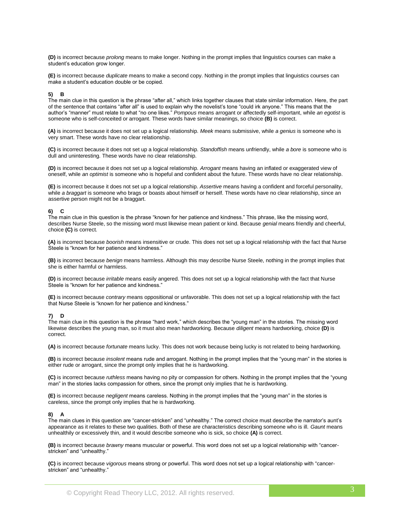**(D)** is incorrect because *prolong* means to make longer. Nothing in the prompt implies that linguistics courses can make a student's education grow longer.

**(E)** is incorrect because *duplicate* means to make a second copy. Nothing in the prompt implies that linguistics courses can make a student's education double or be copied.

# **5) B**

The main clue in this question is the phrase "after all," which links together clauses that state similar information. Here, the part of the sentence that contains "after all" is used to explain why the novelist's tone "could irk anyone." This means that the author's "manner" must relate to what "no one likes." *Pompous* means arrogant or affectedly self-important, while *an egotist* is someone who is self-conceited or arrogant. These words have similar meanings, so choice **(B)** is correct.

**(A)** is incorrect because it does not set up a logical relationship. *Meek* means submissive, while *a genius* is someone who is very smart. These words have no clear relationship.

**(C)** is incorrect because it does not set up a logical relationship. *Standoffish* means unfriendly, while *a bore* is someone who is dull and uninteresting. These words have no clear relationship.

**(D)** is incorrect because it does not set up a logical relationship. *Arrogant* means having an inflated or exaggerated view of oneself, while *an optimist* is someone who is hopeful and confident about the future. These words have no clear relationship.

**(E)** is incorrect because it does not set up a logical relationship. *Assertive* means having a confident and forceful personality, while *a braggart* is someone who brags or boasts about himself or herself. These words have no clear relationship, since an assertive person might not be a braggart.

#### **6) C**

The main clue in this question is the phrase "known for her patience and kindness." This phrase, like the missing word, describes Nurse Steele, so the missing word must likewise mean patient or kind. Because *genial* means friendly and cheerful, choice **(C)** is correct.

**(A)** is incorrect because *boorish* means insensitive or crude. This does not set up a logical relationship with the fact that Nurse Steele is "known for her patience and kindness."

**(B)** is incorrect because *benign* means harmless. Although this may describe Nurse Steele, nothing in the prompt implies that she is either harmful or harmless.

**(D)** is incorrect because *irritable* means easily angered. This does not set up a logical relationship with the fact that Nurse Steele is "known for her patience and kindness."

**(E)** is incorrect because *contrary* means oppositional or unfavorable. This does not set up a logical relationship with the fact that Nurse Steele is "known for her patience and kindness."

#### **7) D**

The main clue in this question is the phrase "hard work," which describes the "young man" in the stories. The missing word likewise describes the young man, so it must also mean hardworking. Because *diligent* means hardworking, choice **(D)** is correct.

**(A)** is incorrect because *fortunate* means lucky. This does not work because being lucky is not related to being hardworking.

**(B)** is incorrect because *insolent* means rude and arrogant. Nothing in the prompt implies that the "young man" in the stories is either rude or arrogant, since the prompt only implies that he is hardworking.

**(C)** is incorrect because *ruthless* means having no pity or compassion for others. Nothing in the prompt implies that the "young man" in the stories lacks compassion for others, since the prompt only implies that he is hardworking.

**(E)** is incorrect because *negligent* means careless. Nothing in the prompt implies that the "young man" in the stories is careless, since the prompt only implies that he is hardworking.

#### **8) A**

The main clues in this question are "cancer-stricken" and "unhealthy." The correct choice must describe the narrator's aunt's appearance as it relates to these two qualities. Both of these are characteristics describing someone who is ill. *Gaunt* means unhealthily or excessively thin, and it would describe someone who is sick, so choice **(A)** is correct.

**(B)** is incorrect because *brawny* means muscular or powerful. This word does not set up a logical relationship with "cancerstricken" and "unhealthy."

**(C)** is incorrect because *vigorous* means strong or powerful. This word does not set up a logical relationship with "cancerstricken" and "unhealthy."